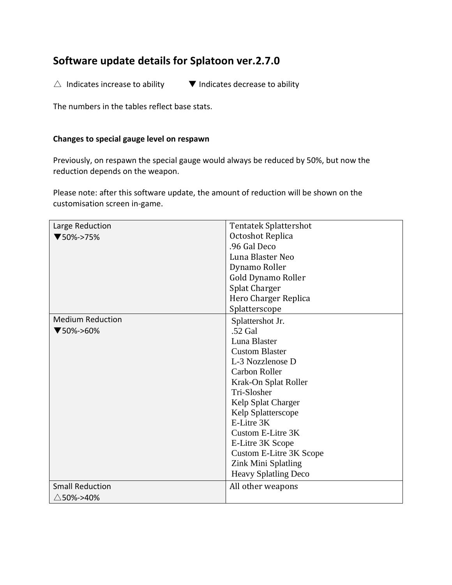# **Software update details for Splatoon ver.2.7.0**

 $\triangle$  Indicates increase to ability  $\blacksquare$  Indicates decrease to ability

The numbers in the tables reflect base stats.

#### **Changes to special gauge level on respawn**

Previously, on respawn the special gauge would always be reduced by 50%, but now the reduction depends on the weapon.

Please note: after this software update, the amount of reduction will be shown on the customisation screen in-game.

| Large Reduction         | <b>Tentatek Splattershot</b>   |  |  |
|-------------------------|--------------------------------|--|--|
| $\P$ 50%->75%           | Octoshot Replica               |  |  |
|                         | .96 Gal Deco                   |  |  |
|                         | Luna Blaster Neo               |  |  |
|                         | Dynamo Roller                  |  |  |
|                         | Gold Dynamo Roller             |  |  |
|                         | <b>Splat Charger</b>           |  |  |
|                         | Hero Charger Replica           |  |  |
|                         | Splatterscope                  |  |  |
| <b>Medium Reduction</b> | Splattershot Jr.               |  |  |
| $\P$ 50%->60%           | .52 Gal                        |  |  |
|                         | Luna Blaster                   |  |  |
|                         | <b>Custom Blaster</b>          |  |  |
|                         | L-3 Nozzlenose D               |  |  |
|                         | <b>Carbon Roller</b>           |  |  |
|                         | Krak-On Splat Roller           |  |  |
|                         | Tri-Slosher                    |  |  |
|                         | Kelp Splat Charger             |  |  |
|                         | Kelp Splatterscope             |  |  |
|                         | E-Litre 3K                     |  |  |
|                         | Custom E-Litre 3K              |  |  |
|                         | E-Litre 3K Scope               |  |  |
|                         | <b>Custom E-Litre 3K Scope</b> |  |  |
|                         | Zink Mini Splatling            |  |  |
|                         | Heavy Splatling Deco           |  |  |
| <b>Small Reduction</b>  | All other weapons              |  |  |
| $\triangle$ 50%->40%    |                                |  |  |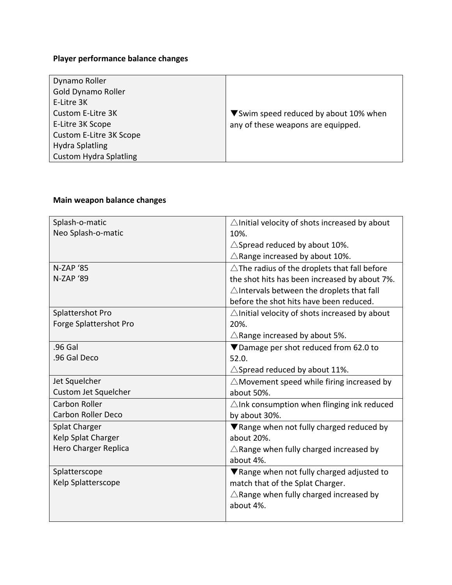## **Player performance balance changes**

| Dynamo Roller                 |                                        |
|-------------------------------|----------------------------------------|
| Gold Dynamo Roller            |                                        |
| E-Litre 3K                    |                                        |
| Custom E-Litre 3K             | ▼ Swim speed reduced by about 10% when |
| E-Litre 3K Scope              | any of these weapons are equipped.     |
| Custom E-Litre 3K Scope       |                                        |
| <b>Hydra Splatling</b>        |                                        |
| <b>Custom Hydra Splatling</b> |                                        |

### **Main weapon balance changes**

| Splash-o-matic            | $\triangle$ Initial velocity of shots increased by about |  |  |  |
|---------------------------|----------------------------------------------------------|--|--|--|
| Neo Splash-o-matic        | 10%.                                                     |  |  |  |
|                           | $\triangle$ Spread reduced by about 10%.                 |  |  |  |
|                           | $\triangle$ Range increased by about 10%.                |  |  |  |
| <b>N-ZAP '85</b>          | $\triangle$ The radius of the droplets that fall before  |  |  |  |
| N-ZAP '89                 | the shot hits has been increased by about 7%.            |  |  |  |
|                           | $\triangle$ Intervals between the droplets that fall     |  |  |  |
|                           | before the shot hits have been reduced.                  |  |  |  |
| Splattershot Pro          | $\triangle$ Initial velocity of shots increased by about |  |  |  |
| Forge Splattershot Pro    | 20%.                                                     |  |  |  |
|                           | $\triangle$ Range increased by about 5%.                 |  |  |  |
| .96 Gal                   | ▼Damage per shot reduced from 62.0 to                    |  |  |  |
| .96 Gal Deco              | 52.0.                                                    |  |  |  |
|                           | $\triangle$ Spread reduced by about 11%.                 |  |  |  |
| Jet Squelcher             | $\triangle$ Movement speed while firing increased by     |  |  |  |
| Custom Jet Squelcher      | about 50%.                                               |  |  |  |
| <b>Carbon Roller</b>      | $\triangle$ Ink consumption when flinging ink reduced    |  |  |  |
| <b>Carbon Roller Deco</b> | by about 30%.                                            |  |  |  |
| <b>Splat Charger</b>      | ▼ Range when not fully charged reduced by                |  |  |  |
| Kelp Splat Charger        | about 20%.                                               |  |  |  |
| Hero Charger Replica      | $\triangle$ Range when fully charged increased by        |  |  |  |
|                           | about 4%.                                                |  |  |  |
| Splatterscope             | ▼ Range when not fully charged adjusted to               |  |  |  |
| Kelp Splatterscope        | match that of the Splat Charger.                         |  |  |  |
|                           | $\triangle$ Range when fully charged increased by        |  |  |  |
|                           | about 4%.                                                |  |  |  |
|                           |                                                          |  |  |  |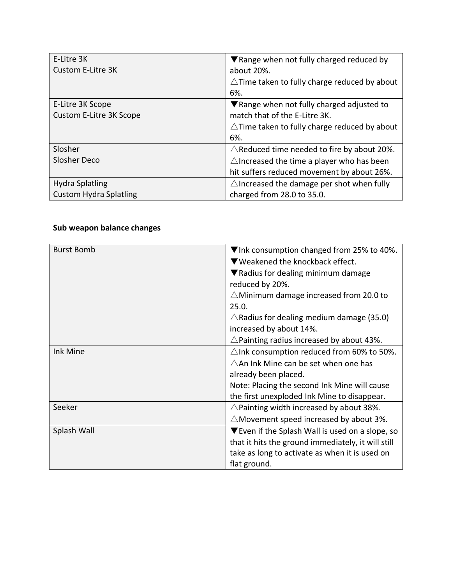| E-Litre 3K                    | ▼ Range when not fully charged reduced by               |
|-------------------------------|---------------------------------------------------------|
| Custom E-Litre 3K             | about 20%.                                              |
|                               | $\triangle$ Time taken to fully charge reduced by about |
|                               | 6%.                                                     |
| E-Litre 3K Scope              | ▼ Range when not fully charged adjusted to              |
| Custom E-Litre 3K Scope       | match that of the E-Litre 3K.                           |
|                               | $\triangle$ Time taken to fully charge reduced by about |
|                               | 6%.                                                     |
| Slosher                       | $\triangle$ Reduced time needed to fire by about 20%.   |
| Slosher Deco                  | $\triangle$ Increased the time a player who has been    |
|                               | hit suffers reduced movement by about 26%.              |
| <b>Hydra Splatling</b>        | $\triangle$ Increased the damage per shot when fully    |
| <b>Custom Hydra Splatling</b> | charged from 28.0 to 35.0.                              |

### **Sub weapon balance changes**

| <b>Burst Bomb</b> | $\nabla$ Ink consumption changed from 25% to 40%.       |  |  |  |
|-------------------|---------------------------------------------------------|--|--|--|
|                   | ▼Weakened the knockback effect.                         |  |  |  |
|                   | $\nabla$ Radius for dealing minimum damage              |  |  |  |
|                   | reduced by 20%.                                         |  |  |  |
|                   | $\triangle$ Minimum damage increased from 20.0 to       |  |  |  |
|                   | 25.0.                                                   |  |  |  |
|                   | $\triangle$ Radius for dealing medium damage (35.0)     |  |  |  |
|                   | increased by about 14%.                                 |  |  |  |
|                   | $\triangle$ Painting radius increased by about 43%.     |  |  |  |
| Ink Mine          | $\triangle$ Ink consumption reduced from 60% to 50%.    |  |  |  |
|                   | $\triangle$ An Ink Mine can be set when one has         |  |  |  |
|                   | already been placed.                                    |  |  |  |
|                   | Note: Placing the second Ink Mine will cause            |  |  |  |
|                   | the first unexploded Ink Mine to disappear.             |  |  |  |
| Seeker            | $\triangle$ Painting width increased by about 38%.      |  |  |  |
|                   | $\triangle$ Movement speed increased by about 3%.       |  |  |  |
| Splash Wall       | $\nabla$ Even if the Splash Wall is used on a slope, so |  |  |  |
|                   | that it hits the ground immediately, it will still      |  |  |  |
|                   | take as long to activate as when it is used on          |  |  |  |
|                   | flat ground.                                            |  |  |  |